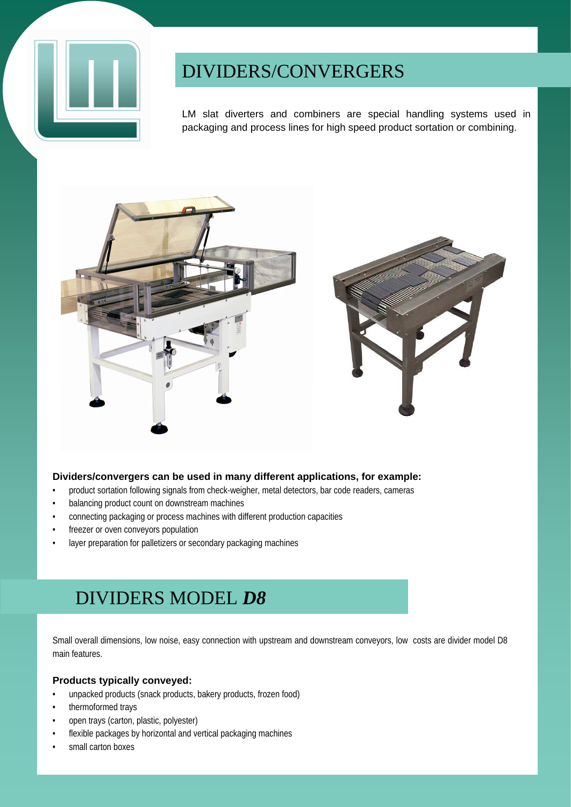

## DIVIDERS/CONVERGERS

LM slat diverters and combiners are special handling systems used in packaging and process lines for high speed product sortation or combining.



### **Dividers/convergers can be used in many different applications, for example:**

- product sortation following signals from check-weigher, metal detectors, bar code readers, cameras
- balancing product count on downstream machines
- connecting packaging or process machines with different production capacities
- freezer or oven conveyors population
- layer preparation for palletizers or secondary packaging machines

## DIVIDERS MODEL *D8*

Small overall dimensions, low noise, easy connection with upstream and downstream conveyors, low costs are divider model D8 main features.

### **Products typically conveyed:**

- unpacked products (snack products, bakery products, frozen food)
- thermoformed trays
- open trays (carton, plastic, polyester)
- flexible packages by horizontal and vertical packaging machines
- small carton boxes